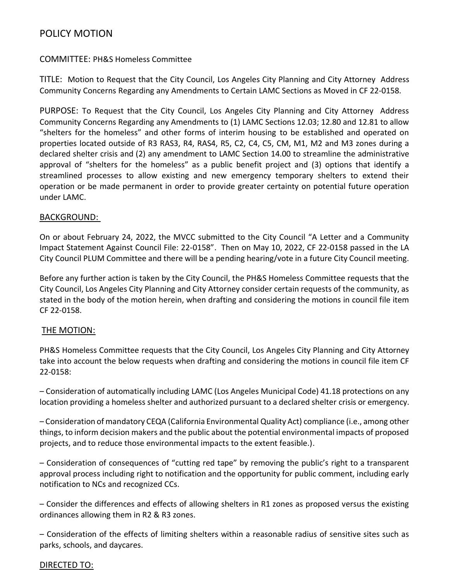## POLICY MOTION

#### COMMITTEE: PH&S Homeless Committee

TITLE: Motion to Request that the City Council, Los Angeles City Planning and City Attorney Address Community Concerns Regarding any Amendments to Certain LAMC Sections as Moved in CF 22-0158.

PURPOSE: To Request that the City Council, Los Angeles City Planning and City Attorney Address Community Concerns Regarding any Amendments to (1) LAMC Sections 12.03; 12.80 and 12.81 to allow "shelters for the homeless" and other forms of interim housing to be established and operated on properties located outside of R3 RAS3, R4, RAS4, R5, C2, C4, C5, CM, M1, M2 and M3 zones during a declared shelter crisis and (2) any amendment to LAMC Section 14.00 to streamline the administrative approval of "shelters for the homeless" as a public benefit project and (3) options that identify a streamlined processes to allow existing and new emergency temporary shelters to extend their operation or be made permanent in order to provide greater certainty on potential future operation under LAMC.

#### BACKGROUND:

On or about February 24, 2022, the MVCC submitted to the City Council "A Letter and a Community Impact Statement Against Council File: 22-0158". Then on May 10, 2022, CF 22-0158 passed in the LA City Council PLUM Committee and there will be a pending hearing/vote in a future City Council meeting.

Before any further action is taken by the City Council, the PH&S Homeless Committee requests that the City Council, Los Angeles City Planning and City Attorney consider certain requests of the community, as stated in the body of the motion herein, when drafting and considering the motions in council file item CF 22-0158.

#### THE MOTION:

PH&S Homeless Committee requests that the City Council, Los Angeles City Planning and City Attorney take into account the below requests when drafting and considering the motions in council file item CF 22-0158:

– Consideration of automatically including LAMC (Los Angeles Municipal Code) 41.18 protections on any location providing a homeless shelter and authorized pursuant to a declared shelter crisis or emergency.

– Consideration of mandatory CEQA (California Environmental Quality Act) compliance (i.e., among other things, to inform decision makers and the public about the potential environmental impacts of proposed projects, and to reduce those environmental impacts to the extent feasible.).

– Consideration of consequences of "cutting red tape" by removing the public's right to a transparent approval process including right to notification and the opportunity for public comment, including early notification to NCs and recognized CCs.

– Consider the differences and effects of allowing shelters in R1 zones as proposed versus the existing ordinances allowing them in R2 & R3 zones.

– Consideration of the effects of limiting shelters within a reasonable radius of sensitive sites such as parks, schools, and daycares.

#### DIRECTED TO: